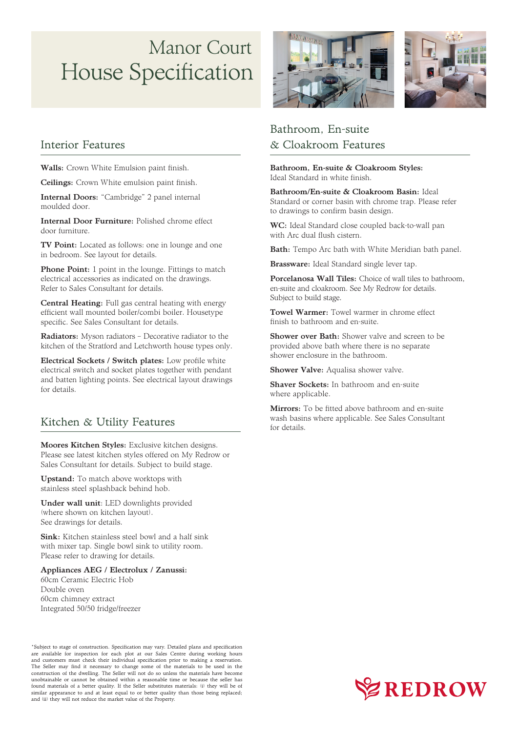### Interior Features

Walls: Crown White Emulsion paint finish.

Ceilings: Crown White emulsion paint finish.

Internal Doors: "Cambridge" 2 panel internal moulded door.

**TV Point:** Located as follows: one in lounge and one in bedroom. See layout for details.

Internal Door Furniture: Polished chrome effect door furniture.

**Phone Point:** 1 point in the lounge. Fittings to match electrical accessories as indicated on the drawings. Refer to Sales Consultant for details.

Central Heating: Full gas central heating with energy efficient wall mounted boiler/combi boiler. Housetype specific. See Sales Consultant for details.

Radiators: Myson radiators – Decorative radiator to the kitchen of the Stratford and Letchworth house types only.

Electrical Sockets / Switch plates: Low profile white electrical switch and socket plates together with pendant and batten lighting points. See electrical layout drawings for details.

### Kitchen & Utility Features

Moores Kitchen Styles: Exclusive kitchen designs. Please see latest kitchen styles offered on My Redrow or Sales Consultant for details. Subject to build stage.

Upstand: To match above worktops with stainless steel splashback behind hob.

Under wall unit: LED downlights provided (where shown on kitchen layout). See drawings for details.

Sink: Kitchen stainless steel bowl and a half sink with mixer tap. Single bowl sink to utility room.





Please refer to drawing for details.

#### Appliances AEG / Electrolux / Zanussi:

60cm Ceramic Electric Hob Double oven 60cm chimney extract Integrated 50/50 fridge/freezer

## Bathroom, En-suite & Cloakroom Features

Bathroom, En-suite & Cloakroom Styles: Ideal Standard in white finish.

Bathroom/En-suite & Cloakroom Basin: Ideal Standard or corner basin with chrome trap. Please refer to drawings to confirm basin design.

WC: Ideal Standard close coupled back-to-wall pan with Arc dual flush cistern.

Bath: Tempo Arc bath with White Meridian bath panel.

Brassware: Ideal Standard single lever tap.

Porcelanosa Wall Tiles: Choice of wall tiles to bathroom, en-suite and cloakroom. See My Redrow for details. Subject to build stage.

Towel Warmer: Towel warmer in chrome effect finish to bathroom and en-suite.

Shower over Bath: Shower valve and screen to be provided above bath where there is no separate shower enclosure in the bathroom.

Shower Valve: Aqualisa shower valve.

Shaver Sockets: In bathroom and en-suite where applicable.

Mirrors: To be fitted above bathroom and en-suite wash basins where applicable. See Sales Consultant for details.

# House Specification Manor Court

\*Subject to stage of construction. Specification may vary. Detailed plans and specification are available for inspection for each plot at our Sales Centre during working hours and customers must check their individual specification prior to making a reservation. The Seller may find it necessary to change some of the materials to be used in the construction of the dwelling. The Seller will not do so unless the materials have become unobtainable or cannot be obtained within a reasonable time or because the seller has found materials of a better quality. If the Seller substitutes materials: (i) they will be of similar appearance to and at least equal to or better quality than those being replaced; and (ii) they will not reduce the market value of the Property.